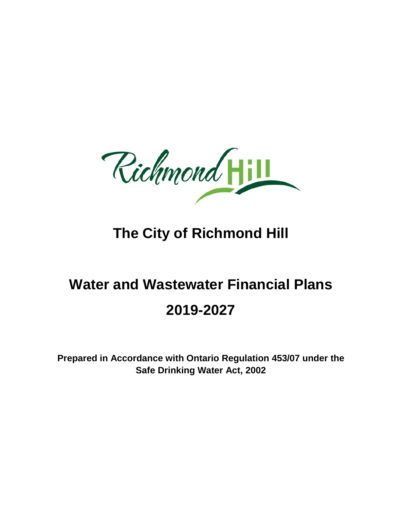Richmond

# **The City of Richmond Hill**

# **Water and Wastewater Financial Plans 2019-2027**

**Prepared in Accordance with Ontario Regulation 453/07 under the Safe Drinking Water Act, 2002**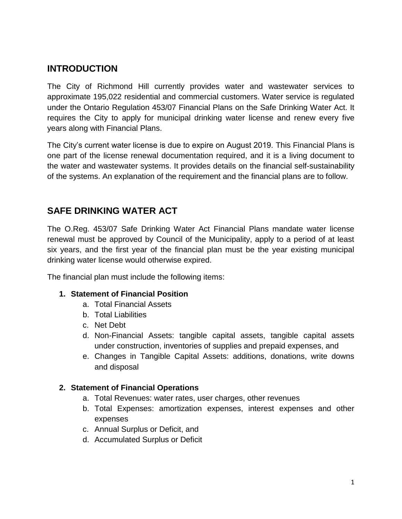# **INTRODUCTION**

The City of Richmond Hill currently provides water and wastewater services to approximate 195,022 residential and commercial customers. Water service is regulated under the Ontario Regulation 453/07 Financial Plans on the Safe Drinking Water Act. It requires the City to apply for municipal drinking water license and renew every five years along with Financial Plans.

The City's current water license is due to expire on August 2019. This Financial Plans is one part of the license renewal documentation required, and it is a living document to the water and wastewater systems. It provides details on the financial self-sustainability of the systems. An explanation of the requirement and the financial plans are to follow.

# **SAFE DRINKING WATER ACT**

The O.Reg. 453/07 Safe Drinking Water Act Financial Plans mandate water license renewal must be approved by Council of the Municipality, apply to a period of at least six years, and the first year of the financial plan must be the year existing municipal drinking water license would otherwise expired.

The financial plan must include the following items:

## **1. Statement of Financial Position**

- a. Total Financial Assets
- b. Total Liabilities
- c. Net Debt
- d. Non-Financial Assets: tangible capital assets, tangible capital assets under construction, inventories of supplies and prepaid expenses, and
- e. Changes in Tangible Capital Assets: additions, donations, write downs and disposal

## **2. Statement of Financial Operations**

- a. Total Revenues: water rates, user charges, other revenues
- b. Total Expenses: amortization expenses, interest expenses and other expenses
- c. Annual Surplus or Deficit, and
- d. Accumulated Surplus or Deficit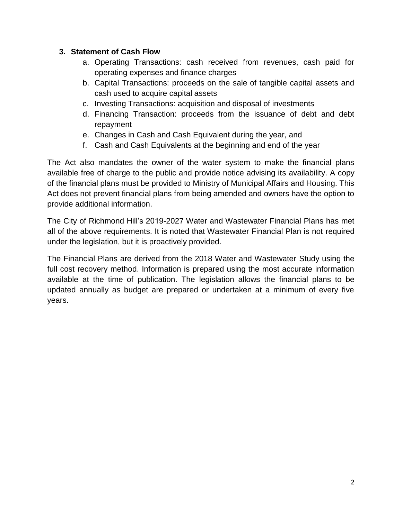## **3. Statement of Cash Flow**

- a. Operating Transactions: cash received from revenues, cash paid for operating expenses and finance charges
- b. Capital Transactions: proceeds on the sale of tangible capital assets and cash used to acquire capital assets
- c. Investing Transactions: acquisition and disposal of investments
- d. Financing Transaction: proceeds from the issuance of debt and debt repayment
- e. Changes in Cash and Cash Equivalent during the year, and
- f. Cash and Cash Equivalents at the beginning and end of the year

The Act also mandates the owner of the water system to make the financial plans available free of charge to the public and provide notice advising its availability. A copy of the financial plans must be provided to Ministry of Municipal Affairs and Housing. This Act does not prevent financial plans from being amended and owners have the option to provide additional information.

The City of Richmond Hill's 2019-2027 Water and Wastewater Financial Plans has met all of the above requirements. It is noted that Wastewater Financial Plan is not required under the legislation, but it is proactively provided.

The Financial Plans are derived from the 2018 Water and Wastewater Study using the full cost recovery method. Information is prepared using the most accurate information available at the time of publication. The legislation allows the financial plans to be updated annually as budget are prepared or undertaken at a minimum of every five years.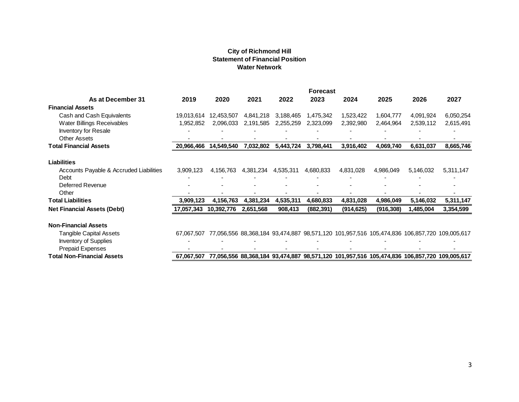#### **City of Richmond Hill Statement of Financial Position Water Network**

|                                                                                                            |           |                                    | <b>City of Richmond Hill</b><br><b>Statement of Financial Position</b><br><b>Water Network</b> |                        |                                          |                                        |                                                                                                        |                                                            |                                          |
|------------------------------------------------------------------------------------------------------------|-----------|------------------------------------|------------------------------------------------------------------------------------------------|------------------------|------------------------------------------|----------------------------------------|--------------------------------------------------------------------------------------------------------|------------------------------------------------------------|------------------------------------------|
| As at December 31<br><b>Financial Assets</b>                                                               | 2019      | 2020                               | 2021                                                                                           | 2022                   | <b>Forecast</b><br>2023                  | 2024                                   | 2025                                                                                                   | 2026                                                       | 2027                                     |
| Cash and Cash Equivalents<br>Water Billings Receivables<br>Inventory for Resale<br><b>Other Assets</b>     | 1,952,852 | 19,013,614 12,453,507<br>2,096,033 | 4,841,218<br>2,191,585                                                                         | 3,188,465<br>2,255,259 | 1,475,342<br>2,323,099<br>$\blacksquare$ | 1,523,422<br>2,392,980<br>ä,<br>$\sim$ | 1,604,777<br>2,464,964<br>$\sim$                                                                       | 4,091,924<br>2,539,112<br>$\blacksquare$<br>$\overline{a}$ | 6,050,254<br>2,615,491<br>$\blacksquare$ |
| <b>Total Financial Assets</b>                                                                              |           | 20,966,466 14,549,540              |                                                                                                | 7,032,802 5,443,724    | 3,798,441                                | 3,916,402                              | 4,069,740                                                                                              | 6,631,037                                                  | 8,665,746                                |
| <b>Liabilities</b><br>Accounts Payable & Accruded Liabilities<br>Debt<br>Deferred Revenue<br>Other         | 3,909,123 | 4,156,763                          | 4,381,234                                                                                      | 4,535,311              | 4,680,833                                | 4,831,028                              | 4,986,049                                                                                              | 5,146,032                                                  | 5,311,147                                |
| <b>Total Liabilities</b>                                                                                   | 3,909,123 | 4,156,763                          | 4,381,234                                                                                      | 4,535,311              | 4,680,833                                | 4,831,028                              | 4,986,049                                                                                              | 5,146,032                                                  | 5,311,147                                |
| <b>Net Financial Assets (Debt)</b>                                                                         |           | 17,057,343 10,392,776              | 2,651,568                                                                                      | 908,413                | (882, 391)                               | (914, 625)                             | (916, 308)                                                                                             | 1,485,004                                                  | 3,354,599                                |
| <b>Non-Financial Assets</b><br><b>Tangible Capital Assets</b><br>Inventory of Supplies<br>Prepaid Expenses |           |                                    |                                                                                                |                        |                                          |                                        | 67,067,507 77,056,556 88,368,184 93,474,887 98,571,120 101,957,516 105,474,836 106,857,720 109,005,617 |                                                            |                                          |
| <b>Total Non-Financial Assets</b>                                                                          |           |                                    |                                                                                                |                        |                                          |                                        | 67,067,507 77,056,556 88,368,184 93,474,887 98,571,120 101,957,516 105,474,836 106,857,720 109,005,617 |                                                            |                                          |
|                                                                                                            |           |                                    |                                                                                                |                        |                                          |                                        |                                                                                                        |                                                            |                                          |
|                                                                                                            |           |                                    |                                                                                                |                        |                                          |                                        |                                                                                                        |                                                            | 3                                        |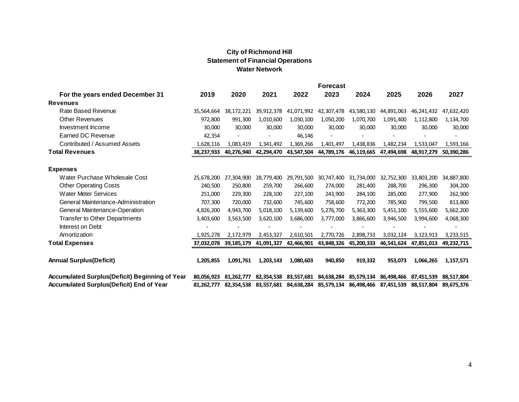#### **City of Richmond Hill Statement of Financial Operations Water Network**

|                                                                                                                                                                                                                                                    |                                                                           |                                                                           | <b>City of Richmond Hill</b><br><b>Statement of Financial Operations</b><br><b>Water Network</b> |                                                         |                                                                                                                                                               |                                                                           |                                                                           |                                                         |                                                         |
|----------------------------------------------------------------------------------------------------------------------------------------------------------------------------------------------------------------------------------------------------|---------------------------------------------------------------------------|---------------------------------------------------------------------------|--------------------------------------------------------------------------------------------------|---------------------------------------------------------|---------------------------------------------------------------------------------------------------------------------------------------------------------------|---------------------------------------------------------------------------|---------------------------------------------------------------------------|---------------------------------------------------------|---------------------------------------------------------|
| For the years ended December 31                                                                                                                                                                                                                    | 2019                                                                      | 2020                                                                      | 2021                                                                                             | 2022                                                    | <b>Forecast</b><br>2023                                                                                                                                       | 2024                                                                      | 2025                                                                      | 2026                                                    | 2027                                                    |
| <b>Revenues</b>                                                                                                                                                                                                                                    |                                                                           |                                                                           |                                                                                                  |                                                         |                                                                                                                                                               |                                                                           |                                                                           |                                                         |                                                         |
| Rate Based Revenue                                                                                                                                                                                                                                 |                                                                           | 35,564,664 38,172,221                                                     |                                                                                                  | 39,912,378 41,071,992                                   | 42,307,478                                                                                                                                                    | 43,580,130                                                                | 44,891,063                                                                | 46,241,432                                              | 47,632,420                                              |
| <b>Other Revenues</b>                                                                                                                                                                                                                              | 972,800                                                                   | 991,300                                                                   | 1,010,600                                                                                        | 1,030,100                                               | 1,050,200                                                                                                                                                     | 1,070,700                                                                 | 1,091,400                                                                 | 1,112,800                                               | 1,134,700                                               |
| Investment Income                                                                                                                                                                                                                                  | 30,000                                                                    | 30,000                                                                    | 30,000                                                                                           | 30,000                                                  | 30,000                                                                                                                                                        | 30,000                                                                    | 30,000                                                                    | 30,000                                                  | 30,000                                                  |
| <b>Earned DC Revenue</b>                                                                                                                                                                                                                           | 42,354                                                                    | $\blacksquare$                                                            | $\blacksquare$                                                                                   | 46,146                                                  | $\overline{a}$                                                                                                                                                | $\blacksquare$                                                            | $\blacksquare$                                                            | $\blacksquare$                                          |                                                         |
| Contributed / Assumed Assets                                                                                                                                                                                                                       | 1,628,116                                                                 | 1,083,419                                                                 | 1,341,492                                                                                        | 1,369,266                                               | 1,401,497                                                                                                                                                     | 1,438,836                                                                 | 1,482,234                                                                 | 1,533,047                                               | 1,593,166                                               |
| <b>Total Revenues</b>                                                                                                                                                                                                                              | 38,237,933                                                                | 40,276,940                                                                | 42,294,470                                                                                       | 43,547,504                                              | 44,789,176                                                                                                                                                    | 46,119,665                                                                | 47,494,698                                                                | 48,917,279                                              | 50,390,286                                              |
| <b>Expenses</b><br>Water Purchase Wholesale Cost<br><b>Other Operating Costs</b><br><b>Water Meter Services</b><br>General Maintenance-Administration<br>General Maintenance-Operation<br><b>Transfer to Other Departments</b><br>Interest on Debt | 240,500<br>251,000<br>707,300<br>4,826,200<br>3,403,600<br>$\overline{a}$ | 250,800<br>229,300<br>720,000<br>4,943,700<br>3,563,500<br>$\blacksquare$ | 259,700<br>228,100<br>732,600<br>5,018,100<br>3,620,100<br>$\frac{1}{2}$                         | 266,600<br>227,100<br>745,600<br>5,139,600<br>3,686,000 | 25,678,200 27,304,900 28,779,400 29,791,500 30,747,400 31,734,000 32,752,300 33,803,200 34,887,800<br>274,000<br>243,900<br>758,600<br>5,276,700<br>3,777,000 | 281,400<br>284,100<br>772,200<br>5,363,300<br>3,866,600<br>$\overline{a}$ | 288,700<br>285,000<br>785,900<br>5,451,100<br>3,946,500<br>$\blacksquare$ | 296,300<br>277,900<br>799,500<br>5,555,600<br>3,994,600 | 304,200<br>262,900<br>813,800<br>5,662,200<br>4,068,300 |
| Amortization                                                                                                                                                                                                                                       | 1,925,278                                                                 | 2,172,979                                                                 | 2,453,327                                                                                        | 2,610,501                                               | 2,770,726                                                                                                                                                     | 2,898,733                                                                 | 3,032,124                                                                 | 3,123,913                                               | 3,233,515                                               |
| <b>Total Expenses</b>                                                                                                                                                                                                                              | 37,032,078                                                                | 39,185,179                                                                | 41,091,327                                                                                       | 42,466,901                                              | 43,848,326                                                                                                                                                    | 45,200,333                                                                | 46,541,624                                                                | 47,851,013                                              | 49,232,715                                              |
| <b>Annual Surplus(Deficit)</b>                                                                                                                                                                                                                     | 1,205,855                                                                 | 1,091,761                                                                 | 1,203,143                                                                                        | 1,080,603                                               | 940,850                                                                                                                                                       | 919,332                                                                   | 953,073                                                                   | 1,066,265                                               | 1,157,571                                               |
| <b>Accumulated Surplus(Deficit) Beginning of Year</b>                                                                                                                                                                                              |                                                                           |                                                                           |                                                                                                  |                                                         | 80,056,923 81,262,777 82,354,538 83,557,681 84,638,284 85,579,134 86,498,466 87,451,539 88,517,804                                                            |                                                                           |                                                                           |                                                         |                                                         |
| <b>Accumulated Surplus (Deficit) End of Year</b>                                                                                                                                                                                                   | 81,262,777                                                                |                                                                           |                                                                                                  | 82,354,538 83,557,681 84,638,284                        | 85,579,134                                                                                                                                                    |                                                                           | 86,498,466 87,451,539 88,517,804                                          |                                                         | 89,675,376                                              |
|                                                                                                                                                                                                                                                    |                                                                           |                                                                           |                                                                                                  |                                                         |                                                                                                                                                               |                                                                           |                                                                           |                                                         | 4                                                       |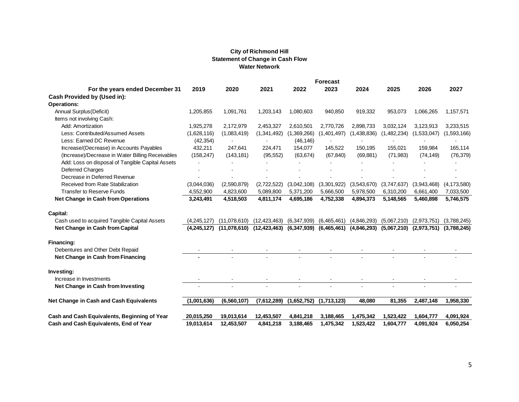#### **City of Richmond Hill Statement of Change in Cash Flow Water Network**

|                                                  |             |                                                                         | <b>City of Richmond Hill</b> |             |                 |                          |             |                             |               |
|--------------------------------------------------|-------------|-------------------------------------------------------------------------|------------------------------|-------------|-----------------|--------------------------|-------------|-----------------------------|---------------|
|                                                  |             | <b>Statement of Change in Cash Flow</b>                                 |                              |             |                 |                          |             |                             |               |
|                                                  |             |                                                                         | <b>Water Network</b>         |             |                 |                          |             |                             |               |
|                                                  |             |                                                                         |                              |             | <b>Forecast</b> |                          |             |                             |               |
| For the years ended December 31                  | 2019        | 2020                                                                    | 2021                         | 2022        | 2023            | 2024                     | 2025        | 2026                        | 2027          |
| Cash Provided by (Used in):                      |             |                                                                         |                              |             |                 |                          |             |                             |               |
| <b>Operations:</b>                               |             |                                                                         |                              |             |                 |                          |             |                             |               |
| Annual Surplus (Deficit)                         | 1.205.855   | 1,091,761                                                               | 1,203,143                    | 1.080.603   | 940.850         | 919.332                  | 953.073     | 1,066,265                   | 1.157.571     |
| Items not involving Cash:                        |             |                                                                         |                              |             |                 |                          |             |                             |               |
| Add: Amortization                                | 1,925,278   | 2,172,979                                                               | 2,453,327                    | 2,610,501   | 2,770,726       | 2,898,733                | 3,032,124   | 3,123,913                   | 3,233,515     |
| Less: Contributed/Assumed Assets                 | (1,628,116) | (1,083,419)                                                             | (1,341,492)                  | (1,369,266) | (1,401,497)     | (1,438,836)              | (1,482,234) | (1,533,047)                 | (1,593,166)   |
| Less: Earned DC Revenue                          | (42, 354)   |                                                                         |                              | (46, 146)   |                 |                          |             |                             |               |
| Increase/(Decrease) in Accounts Payables         | 432,211     | 247,641                                                                 | 224,471                      | 154,077     | 145,522         | 150.195                  | 155.021     | 159,984                     | 165,114       |
| (Increase)/Decrease in Water Billing Receivables | (158, 247)  | (143, 181)                                                              | (95, 552)                    | (63, 674)   | (67, 840)       | (69, 881)                | (71, 983)   | (74, 149)                   | (76, 379)     |
| Add: Loss on disposal of Tangible Capital Assets |             |                                                                         |                              |             |                 | $\blacksquare$           |             |                             |               |
| <b>Deferred Charges</b>                          |             |                                                                         |                              |             |                 |                          |             |                             |               |
| Decrease in Deferred Revenue                     |             |                                                                         |                              |             |                 |                          |             |                             |               |
| Received from Rate Stabilization                 | (3,044,036) | (2,590,879)                                                             | (2,722,522)                  | (3,042,108) | (3,301,922)     | (3,543,670)              | (3,747,637) | (3,943,468)                 | (4, 173, 580) |
| Transfer to Reserve Funds                        | 4,552,900   | 4,823,600                                                               | 5,089,800                    | 5,371,200   | 5.666.500       | 5,978,500                | 6,310,200   | 6,661,400                   | 7,033,500     |
| Net Change in Cash from Operations               | 3,243,491   | 4,518,503                                                               | 4,811,174                    | 4,695,186   | 4,752,338       | 4,894,373                | 5,148,565   | 5,460,898                   | 5,746,575     |
| Capital:                                         |             |                                                                         |                              |             |                 |                          |             |                             |               |
| Cash used to acquired Tangible Capital Assets    | (4,245,127) | (11,078,610)                                                            | (12, 423, 463)               | (6,347,939) | (6,465,461)     | (4,846,293)              | (5,067,210) | (2,973,751)                 | (3,788,245)   |
| Net Change in Cash from Capital                  | (4.245.127) | $(11,078,610)$ $(12,423,463)$ $(6,347,939)$ $(6,465,461)$ $(4,846,293)$ |                              |             |                 |                          | (5,067,210) | $(2,973,751)$ $(3,788,245)$ |               |
|                                                  |             |                                                                         |                              |             |                 |                          |             |                             |               |
| Financing:                                       |             |                                                                         |                              |             |                 |                          |             |                             |               |
| Debentures and Other Debt Repaid                 |             |                                                                         |                              |             |                 | $\overline{\phantom{a}}$ |             |                             |               |
| Net Change in Cash from Financing                |             |                                                                         |                              |             |                 |                          |             |                             |               |
| Investing:                                       |             |                                                                         |                              |             |                 |                          |             |                             |               |
| Increase in Investments                          |             |                                                                         |                              |             |                 |                          |             |                             |               |
| Net Change in Cash from Investing                |             |                                                                         |                              |             |                 |                          |             |                             |               |
| Net Change in Cash and Cash Equivalents          | (1,001,636) | (6, 560, 107)                                                           | (7,612,289)                  | (1,652,752) | (1,713,123)     | 48,080                   | 81,355      | 2,487,148                   | 1,958,330     |
|                                                  |             |                                                                         |                              |             |                 |                          |             |                             |               |
| Cash and Cash Equivalents, Beginning of Year     | 20,015,250  | 19,013,614                                                              | 12,453,507                   | 4,841,218   | 3,188,465       | 1,475,342                | 1,523,422   | 1,604,777                   | 4,091,924     |
| Cash and Cash Equivalents, End of Year           | 19,013,614  | 12,453,507                                                              | 4,841,218                    | 3,188,465   | 1,475,342       | 1,523,422                | 1,604,777   | 4,091,924                   | 6,050,254     |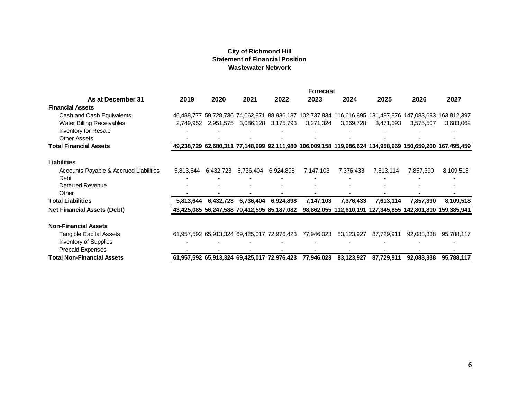#### **City of Richmond Hill Statement of Financial Position Wastewater Network**

|                                                                                                                                  |                |                     | <b>City of Richmond Hill</b><br><b>Wastewater Network</b> | <b>Statement of Financial Position</b>                    |                                                                                                                                        |                             |                                                            |                       |                                         |
|----------------------------------------------------------------------------------------------------------------------------------|----------------|---------------------|-----------------------------------------------------------|-----------------------------------------------------------|----------------------------------------------------------------------------------------------------------------------------------------|-----------------------------|------------------------------------------------------------|-----------------------|-----------------------------------------|
| As at December 31                                                                                                                | 2019           | 2020                | 2021                                                      | 2022                                                      | <b>Forecast</b><br>2023                                                                                                                | 2024                        | 2025                                                       | 2026                  | 2027                                    |
| <b>Financial Assets</b><br>Cash and Cash Equivalents<br>Water Billing Receivables<br>Inventory for Resale<br><b>Other Assets</b> |                |                     | $\blacksquare$                                            | 2,749,952 2,951,575 3,086,128 3,175,793<br>$\blacksquare$ | 46,488,777 59,728,736 74,062,871 88,936,187 102,737,834 116,616,895 131,487,876 147,083,693 163,812,397<br>3,271,324<br>$\blacksquare$ | 3,369,728<br>$\overline{a}$ | 3,471,093<br>$\blacksquare$<br>$\overline{a}$              | 3,575,507             | 3,683,062<br>$\blacksquare$<br>$\Delta$ |
| <b>Total Financial Assets</b>                                                                                                    |                |                     |                                                           |                                                           | 49,238,729 62,680,311 77,148,999 92,111,980 106,009,158 119,986,624 134,958,969 150,659,200 167,495,459                                |                             |                                                            |                       |                                         |
| <b>Liabilities</b><br>Accounts Payable & Accrued Liabilities<br>Debt<br><b>Deterred Revenue</b>                                  |                | 5,813,644 6,432,723 | 6,736,404                                                 | 6,924,898                                                 | 7,147,103<br>$\overline{a}$                                                                                                            | 7,376,433                   | 7,613,114                                                  | 7,857,390             | 8,109,518                               |
| Other<br><b>Total Liabilities</b>                                                                                                | 5,813,644      | 6,432,723           | 6,736,404                                                 | 6,924,898                                                 | 7,147,103                                                                                                                              | 7,376,433                   | 7,613,114                                                  | 7,857,390             | 8,109,518                               |
| <b>Net Financial Assets (Debt)</b>                                                                                               |                |                     |                                                           | 43,425,085 56,247,588 70,412,595 85,187,082               |                                                                                                                                        |                             | 98,862,055 112,610,191 127,345,855 142,801,810 159,385,941 |                       |                                         |
| <b>Non-Financial Assets</b><br><b>Tangible Capital Assets</b><br>Inventory of Supplies<br><b>Prepaid Expenses</b>                | $\blacksquare$ | $\sim$              |                                                           | ÷,<br>$\blacksquare$                                      | 61,957,592 65,913,324 69,425,017 72,976,423 77,946,023 83,123,927 87,729,911<br>÷,<br>$\blacksquare$                                   | ÷,<br>$\sim$                | ÷,<br>$\blacksquare$                                       | $\blacksquare$        | 92,083,338 95,788,117<br>÷,             |
| <b>Total Non-Financial Assets</b>                                                                                                |                |                     |                                                           |                                                           | 61,957,592 65,913,324 69,425,017 72,976,423 77,946,023 83,123,927                                                                      |                             |                                                            | 87,729,911 92,083,338 | 95,788,117                              |
|                                                                                                                                  |                |                     |                                                           |                                                           |                                                                                                                                        |                             |                                                            |                       | 6                                       |
|                                                                                                                                  |                |                     |                                                           |                                                           |                                                                                                                                        |                             |                                                            |                       |                                         |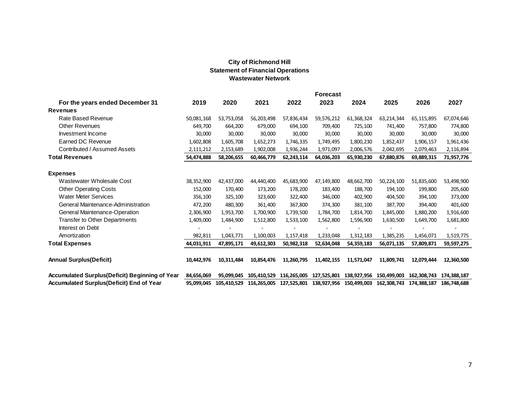#### **City of Richmond Hill Statement of Financial Operations Wastewater Network**

|                                                |                |                          | <b>City of Richmond Hill</b>             |                |                                                                         |                |            |                             |                          |
|------------------------------------------------|----------------|--------------------------|------------------------------------------|----------------|-------------------------------------------------------------------------|----------------|------------|-----------------------------|--------------------------|
|                                                |                |                          | <b>Statement of Financial Operations</b> |                |                                                                         |                |            |                             |                          |
|                                                |                |                          | <b>Wastewater Network</b>                |                |                                                                         |                |            |                             |                          |
|                                                |                |                          |                                          |                | <b>Forecast</b>                                                         |                |            |                             |                          |
| For the years ended December 31                | 2019           | 2020                     | 2021                                     | 2022           | 2023                                                                    | 2024           | 2025       | 2026                        | 2027                     |
| <b>Revenues</b>                                |                |                          |                                          |                |                                                                         |                |            |                             |                          |
| Rate Based Revenue                             | 50,081,168     | 53,753,058               | 56,203,498                               | 57,836,434     | 59,576,212                                                              | 61,368,324     | 63,214,344 | 65,115,895                  | 67,074,646               |
| <b>Other Revenues</b>                          | 649,700        | 664,200                  | 679,000                                  | 694,100        | 709,400                                                                 | 725,100        | 741,400    | 757,800                     | 774,800                  |
| Investment Income                              | 30,000         | 30,000                   | 30,000                                   | 30,000         | 30,000                                                                  | 30,000         | 30,000     | 30,000                      | 30,000                   |
| <b>Earned DC Revenue</b>                       | 1,602,808      | 1,605,708                | 1,652,273                                | 1,746,335      | 1,749,495                                                               | 1,800,230      | 1,852,437  | 1,906,157                   | 1,961,436                |
| Contributed / Assumed Assets                   | 2,111,212      | 2,153,689                | 1,902,008                                | 1,936,244      | 1,971,097                                                               | 2,006,576      | 2,042,695  | 2,079,463                   | 2,116,894                |
| <b>Total Revenues</b>                          | 54,474,888     | 58,206,655               | 60,466,779                               | 62,243,114     | 64,036,203                                                              | 65,930,230     | 67,880,876 | 69,889,315                  | 71,957,776               |
|                                                |                |                          |                                          |                |                                                                         |                |            |                             |                          |
| <b>Expenses</b>                                |                |                          |                                          |                |                                                                         |                |            |                             |                          |
| Wastewater Wholesale Cost                      | 38,352,900     | 42,437,000               | 44,440,400                               | 45,683,900     | 47,149,800                                                              | 48,662,700     | 50,224,100 | 51,835,600                  | 53,498,900               |
| <b>Other Operating Costs</b>                   | 152,000        | 170,400                  | 173,200                                  | 178,200        | 183,400                                                                 | 188,700        | 194,100    | 199,800                     | 205,600                  |
| <b>Water Meter Services</b>                    | 356,100        | 325,100                  | 323,600                                  | 322,400        | 346,000                                                                 | 402,900        | 404,500    | 394,100                     | 373,000                  |
| General Maintenance-Administration             | 472,200        | 480,300                  | 361,400                                  | 367,800        | 374,300                                                                 | 381,100        | 387,700    | 394,400                     | 401,600                  |
| General Maintenance-Operation                  | 2,306,900      | 1,953,700                | 1,700,900                                | 1,739,500      | 1,784,700                                                               | 1,814,700      | 1,845,000  | 1,880,200                   | 1,916,600                |
| Transfer to Other Departments                  | 1,409,000      | 1,484,900                | 1,512,800                                | 1,533,100      | 1,562,800                                                               | 1,596,900      | 1,630,500  | 1,649,700                   | 1,681,800                |
| Interest on Debt                               | $\blacksquare$ | $\overline{\phantom{a}}$ | $\blacksquare$                           | $\blacksquare$ | $\blacksquare$                                                          | $\blacksquare$ | ÷          | $\blacksquare$              | $\overline{\phantom{a}}$ |
| Amortization                                   | 982,811        | 1,043,771                | 1,100,003                                | 1,157,418      | 1,233,048                                                               | 1,312,183      | 1,385,235  | 1,456,071                   | 1,519,775                |
| <b>Total Expenses</b>                          | 44,031,911     | 47,895,171               | 49,612,303                               | 50,982,318     | 52,634,048                                                              | 54,359,183     | 56,071,135 | 57,809,871                  | 59,597,275               |
| <b>Annual Surplus(Deficit)</b>                 | 10,442,976     | 10,311,484               | 10,854,476                               | 11,260,795     | 11,402,155                                                              | 11,571,047     | 11,809,741 | 12,079,444                  | 12,360,500               |
| Accumulated Surplus(Deficit) Beginning of Year | 84,656,069     |                          |                                          |                | 95,099,045 105,410,529 116,265,005 127,525,801 138,927,956 150,499,003  |                |            | 162, 308, 743 174, 388, 187 |                          |
| Accumulated Surplus(Deficit) End of Year       | 95.099.045     |                          |                                          |                | 105,410,529 116,265,005 127,525,801 138,927,956 150,499,003 162,308,743 |                |            | 174,388,187 186,748,688     |                          |
|                                                |                |                          |                                          |                |                                                                         |                |            |                             |                          |
|                                                |                |                          |                                          |                |                                                                         |                |            |                             |                          |
|                                                |                |                          |                                          |                |                                                                         |                |            |                             |                          |
|                                                |                |                          |                                          |                |                                                                         |                |            |                             |                          |
|                                                |                |                          |                                          |                |                                                                         |                |            |                             |                          |
|                                                |                |                          |                                          |                |                                                                         |                |            |                             |                          |
|                                                |                |                          |                                          |                |                                                                         |                |            |                             |                          |
|                                                |                |                          |                                          |                |                                                                         |                |            |                             |                          |
|                                                |                |                          |                                          |                |                                                                         |                |            |                             |                          |
|                                                |                |                          |                                          |                |                                                                         |                |            |                             | $\overline{7}$           |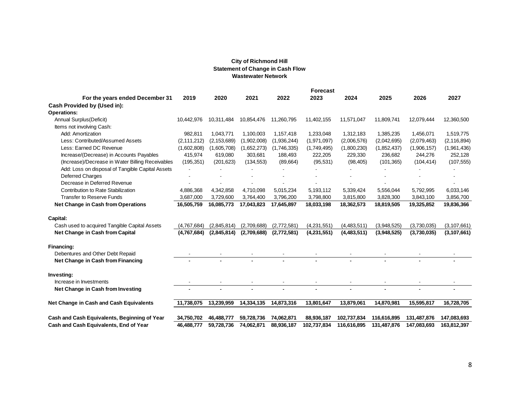#### **City of Richmond Hill Statement of Change in Cash Flow Wastewater Network**

|                                                                |               |               | <b>City of Richmond Hill</b>                                         |             |                 |             |             |             |               |
|----------------------------------------------------------------|---------------|---------------|----------------------------------------------------------------------|-------------|-----------------|-------------|-------------|-------------|---------------|
|                                                                |               |               | <b>Statement of Change in Cash Flow</b><br><b>Wastewater Network</b> |             |                 |             |             |             |               |
|                                                                |               |               |                                                                      |             | <b>Forecast</b> |             |             |             |               |
| For the years ended December 31<br>Cash Provided by (Used in): | 2019          | 2020          | 2021                                                                 | 2022        | 2023            | 2024        | 2025        | 2026        | 2027          |
| Operations:                                                    |               |               |                                                                      |             |                 |             |             |             |               |
| Annual Surplus (Deficit)                                       | 10.442.976    | 10,311,484    | 10,854,476                                                           | 11,260,795  | 11,402,155      | 11,571,047  | 11,809,741  | 12,079,444  | 12,360,500    |
| Items not involving Cash:                                      |               |               |                                                                      |             |                 |             |             |             |               |
| Add: Amortization                                              | 982.811       | 1,043,771     | 1,100,003                                                            | 1,157,418   | 1,233,048       | 1,312,183   | 1,385,235   | 1,456,071   | 1,519,775     |
| Less: Contributed/Assumed Assets                               | (2, 111, 212) | (2, 153, 689) | (1,902,008)                                                          | (1,936,244) | (1,971,097)     | (2,006,576) | (2,042,695) | (2,079,463) | (2, 116, 894) |
| Less: Earned DC Revenue                                        | (1,602,808)   | (1,605,708)   | (1,652,273)                                                          | (1,746,335) | (1,749,495)     | (1,800,230) | (1,852,437) | (1,906,157) | (1,961,436)   |
| Increase/(Decrease) in Accounts Payables                       | 415,974       | 619,080       | 303,681                                                              | 188,493     | 222,205         | 229,330     | 236,682     | 244,276     | 252,128       |
| (Increase)/Decrease in Water Billing Receivables               | (195, 351)    | (201, 623)    | (134, 553)                                                           | (89,664)    | (95, 531)       | (98, 405)   | (101, 365)  | (104, 414)  | (107, 555)    |
| Add: Loss on disposal of Tangible Capital Assets               |               |               |                                                                      |             |                 |             |             |             |               |
| <b>Deferred Charges</b>                                        |               |               |                                                                      |             |                 |             |             |             |               |
| Decrease in Deferred Revenue                                   |               |               |                                                                      |             |                 |             |             |             |               |
| Contribution to Rate Stabilization                             | 4,886,368     | 4,342,858     | 4,710,098                                                            | 5,015,234   | 5,193,112       | 5,339,424   | 5,556,044   | 5,792,995   | 6,033,146     |
| <b>Transfer to Reserve Funds</b>                               | 3,687,000     | 3,729,600     | 3,764,400                                                            | 3,796,200   | 3,798,800       | 3,815,800   | 3,828,300   | 3,843,100   | 3,856,700     |
| Net Change in Cash from Operations                             | 16,505,759    | 16,085,773    | 17,043,823                                                           | 17,645,897  | 18,033,198      | 18,362,573  | 18,819,505  | 19,325,852  | 19,836,366    |
| Capital:                                                       |               |               |                                                                      |             |                 |             |             |             |               |
| Cash used to acquired Tangible Capital Assets                  | (4.767.684)   | (2.845.814)   | (2.709.688)                                                          | (2.772.581) | (4,231,551)     | (4,483,511) | (3,948,525) | (3,730,035) | (3, 107, 661) |
| Net Change in Cash from Capital                                | (4,767,684)   | (2,845,814)   | (2,709,688)                                                          | (2,772,581) | (4,231,551)     | (4,483,511) | (3,948,525) | (3,730,035) | (3, 107, 661) |
| Financing:                                                     |               |               |                                                                      |             |                 |             |             |             |               |
| Debentures and Other Debt Repaid                               |               |               |                                                                      |             |                 |             |             |             |               |
| Net Change in Cash from Financing                              |               |               |                                                                      |             |                 |             |             |             |               |
| Investing:                                                     |               |               |                                                                      |             |                 |             |             |             |               |
| Increase in Investments                                        |               |               |                                                                      |             |                 |             |             |             |               |
| Net Change in Cash from Investing                              |               |               |                                                                      |             |                 |             |             |             |               |
| Net Change in Cash and Cash Equivalents                        | 11,738,075    | 13,239,959    | 14,334,135                                                           | 14,873,316  | 13,801,647      | 13,879,061  | 14,870,981  | 15,595,817  | 16,728,705    |
| Cash and Cash Equivalents, Beginning of Year                   | 34,750,702    | 46,488,777    | 59,728,736                                                           | 74,062,871  | 88,936,187      | 102,737,834 | 116,616,895 | 131,487,876 | 147,083,693   |
| Cash and Cash Equivalents, End of Year                         | 46,488,777    | 59,728,736    | 74,062,871                                                           | 88,936,187  | 102,737,834     | 116,616,895 | 131,487,876 | 147,083,693 | 163,812,397   |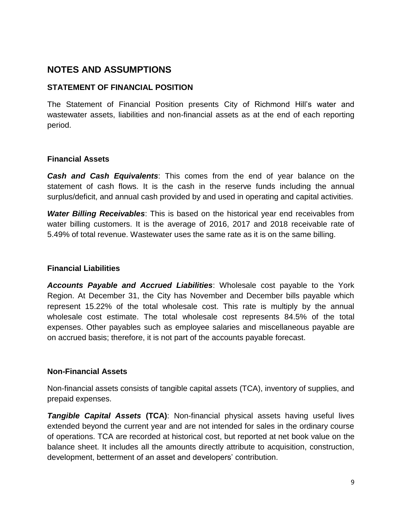# **NOTES AND ASSUMPTIONS**

## **STATEMENT OF FINANCIAL POSITION**

The Statement of Financial Position presents City of Richmond Hill's water and wastewater assets, liabilities and non-financial assets as at the end of each reporting period.

## **Financial Assets**

*Cash and Cash Equivalents*: This comes from the end of year balance on the statement of cash flows. It is the cash in the reserve funds including the annual surplus/deficit, and annual cash provided by and used in operating and capital activities.

*Water Billing Receivables*: This is based on the historical year end receivables from water billing customers. It is the average of 2016, 2017 and 2018 receivable rate of 5.49% of total revenue. Wastewater uses the same rate as it is on the same billing.

## **Financial Liabilities**

*Accounts Payable and Accrued Liabilities*: Wholesale cost payable to the York Region. At December 31, the City has November and December bills payable which represent 15.22% of the total wholesale cost. This rate is multiply by the annual wholesale cost estimate. The total wholesale cost represents 84.5% of the total expenses. Other payables such as employee salaries and miscellaneous payable are on accrued basis; therefore, it is not part of the accounts payable forecast.

## **Non-Financial Assets**

Non-financial assets consists of tangible capital assets (TCA), inventory of supplies, and prepaid expenses.

*Tangible Capital Assets* **(TCA)**: Non-financial physical assets having useful lives extended beyond the current year and are not intended for sales in the ordinary course of operations. TCA are recorded at historical cost, but reported at net book value on the balance sheet. It includes all the amounts directly attribute to acquisition, construction, development, betterment of an asset and developers' contribution.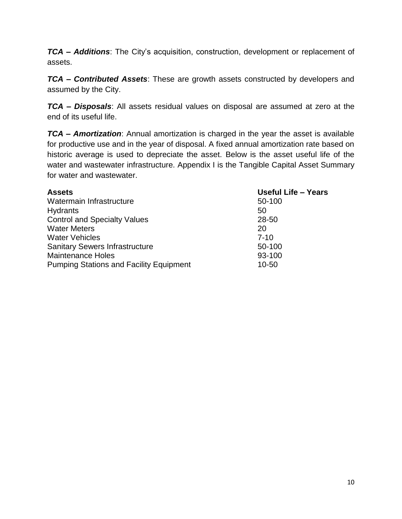*TCA – Additions*: The City's acquisition, construction, development or replacement of assets.

*TCA – Contributed Assets*: These are growth assets constructed by developers and assumed by the City.

*TCA – Disposals*: All assets residual values on disposal are assumed at zero at the end of its useful life.

*TCA – Amortization*: Annual amortization is charged in the year the asset is available for productive use and in the year of disposal. A fixed annual amortization rate based on historic average is used to depreciate the asset. Below is the asset useful life of the water and wastewater infrastructure. Appendix I is the Tangible Capital Asset Summary for water and wastewater.

| <b>Assets</b>                                  | <b>Useful Life - Years</b> |
|------------------------------------------------|----------------------------|
| Watermain Infrastructure                       | 50-100                     |
| Hydrants                                       | 50                         |
| <b>Control and Specialty Values</b>            | 28-50                      |
| <b>Water Meters</b>                            | 20                         |
| <b>Water Vehicles</b>                          | $7 - 10$                   |
| <b>Sanitary Sewers Infrastructure</b>          | 50-100                     |
| <b>Maintenance Holes</b>                       | 93-100                     |
| <b>Pumping Stations and Facility Equipment</b> | $10 - 50$                  |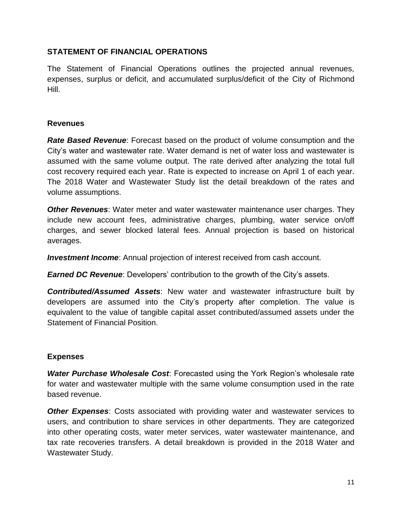## **STATEMENT OF FINANCIAL OPERATIONS**

The Statement of Financial Operations outlines the projected annual revenues, expenses, surplus or deficit, and accumulated surplus/deficit of the City of Richmond Hill.

#### **Revenues**

*Rate Based Revenue*: Forecast based on the product of volume consumption and the City's water and wastewater rate. Water demand is net of water loss and wastewater is assumed with the same volume output. The rate derived after analyzing the total full cost recovery required each year. Rate is expected to increase on April 1 of each year. The 2018 Water and Wastewater Study list the detail breakdown of the rates and volume assumptions.

*Other Revenues*: Water meter and water wastewater maintenance user charges. They include new account fees, administrative charges, plumbing, water service on/off charges, and sewer blocked lateral fees. Annual projection is based on historical averages.

*Investment Income*: Annual projection of interest received from cash account.

*Earned DC Revenue*: Developers' contribution to the growth of the City's assets.

*Contributed/Assumed Assets*: New water and wastewater infrastructure built by developers are assumed into the City's property after completion. The value is equivalent to the value of tangible capital asset contributed/assumed assets under the Statement of Financial Position.

## **Expenses**

*Water Purchase Wholesale Cost*: Forecasted using the York Region's wholesale rate for water and wastewater multiple with the same volume consumption used in the rate based revenue.

*Other Expenses*: Costs associated with providing water and wastewater services to users, and contribution to share services in other departments. They are categorized into other operating costs, water meter services, water wastewater maintenance, and tax rate recoveries transfers. A detail breakdown is provided in the 2018 Water and Wastewater Study.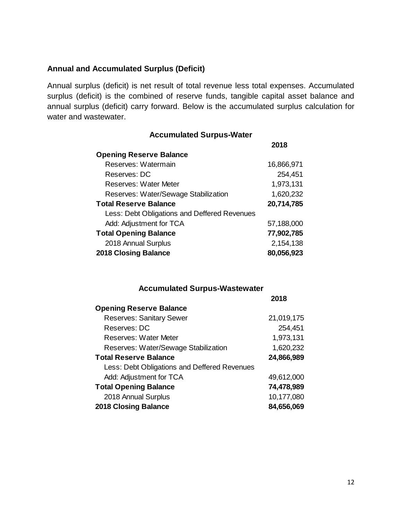#### **Annual and Accumulated Surplus (Deficit)**

Annual surplus (deficit) is net result of total revenue less total expenses. Accumulated surplus (deficit) is the combined of reserve funds, tangible capital asset balance and annual surplus (deficit) carry forward. Below is the accumulated surplus calculation for water and wastewater.

#### **Accumulated Surpus-Water**

|                                              | 2018       |
|----------------------------------------------|------------|
| <b>Opening Reserve Balance</b>               |            |
| Reserves: Watermain                          | 16,866,971 |
| Reserves: DC                                 | 254,451    |
| <b>Reserves: Water Meter</b>                 | 1,973,131  |
| Reserves: Water/Sewage Stabilization         | 1,620,232  |
| <b>Total Reserve Balance</b>                 | 20,714,785 |
| Less: Debt Obligations and Deffered Revenues |            |
| Add: Adjustment for TCA                      | 57,188,000 |
| <b>Total Opening Balance</b>                 | 77,902,785 |
| 2018 Annual Surplus                          | 2,154,138  |
| <b>2018 Closing Balance</b>                  | 80,056,923 |

#### **Accumulated Surpus-Wastewater**

|                                              | 2018       |
|----------------------------------------------|------------|
| <b>Opening Reserve Balance</b>               |            |
| <b>Reserves: Sanitary Sewer</b>              | 21,019,175 |
| Reserves: DC                                 | 254,451    |
| <b>Reserves: Water Meter</b>                 | 1,973,131  |
| Reserves: Water/Sewage Stabilization         | 1,620,232  |
| <b>Total Reserve Balance</b>                 | 24,866,989 |
| Less: Debt Obligations and Deffered Revenues |            |
| Add: Adjustment for TCA                      | 49,612,000 |
| <b>Total Opening Balance</b>                 | 74,478,989 |
| 2018 Annual Surplus                          | 10,177,080 |
| 2018 Closing Balance                         | 84,656,069 |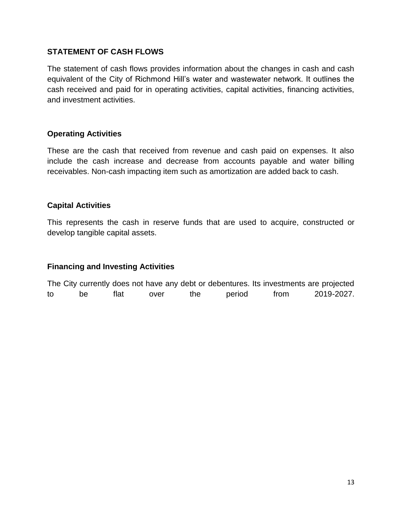#### **STATEMENT OF CASH FLOWS**

The statement of cash flows provides information about the changes in cash and cash equivalent of the City of Richmond Hill's water and wastewater network. It outlines the cash received and paid for in operating activities, capital activities, financing activities, and investment activities.

#### **Operating Activities**

These are the cash that received from revenue and cash paid on expenses. It also include the cash increase and decrease from accounts payable and water billing receivables. Non-cash impacting item such as amortization are added back to cash.

#### **Capital Activities**

This represents the cash in reserve funds that are used to acquire, constructed or develop tangible capital assets.

#### **Financing and Investing Activities**

The City currently does not have any debt or debentures. Its investments are projected to be flat over the period from 2019-2027.